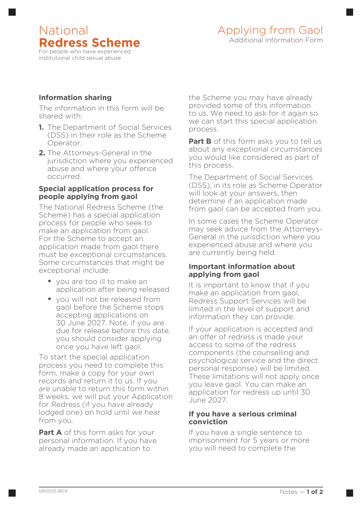## National **Redress Scheme** For people who have experienced institutional child sexual abuse

# **Information sharing**

The information in this form will be shared with:

- **1.** The Department of Social Services (DSS) in their role as the Scheme Operator.
- **2.** The Attorneys-General in the jurisdiction where you experienced abuse and where your offence occurred.

#### **Special application process for people applying from gaol**

The National Redress Scheme (the Scheme) has a special application process for people who seek to make an application from gaol. For the Scheme to accept an application made from gaol there must be exceptional circumstances. Some circumstances that might be exceptional include:

- **•** you are too ill to make an application after being released
- **•** you will not be released from gaol before the Scheme stops accepting applications on 30 June 2027. Note, if you are due for release before this date, you should consider applying once you have left gaol.

To start the special application process you need to complete this form, make a copy for your own records and return it to us. If you are unable to return this form within 8 weeks, we will put your Application for Redress (if you have already lodged one) on hold until we hear from you.

**Part A** of this form asks for your personal information. If you have already made an application to

the Scheme you may have already provided some of this information to us. We need to ask for it again so we can start this special application process.

**Part B** of this form asks you to tell us about any exceptional circumstances you would like considered as part of this process.

The Department of Social Services (DSS), in its role as Scheme Operator will look at your answers, then determine if an application made from gaol can be accepted from you.

In some cases the Scheme Operator may seek advice from the Attorneys-General in the jurisdiction where you experienced abuse and where you are currently being held.

### **Important information about applying from gaol**

It is important to know that if you make an application from gaol, Redress Support Services will be limited in the level of support and information they can provide.

If your application is accepted and an offer of redress is made your access to some of the redress components (the counselling and psychological service and the direct personal response) will be limited. These limitations will not apply once you leave gaol. You can make an application for redress up until 30 June 2027.

### **If you have a serious criminal conviction**

If you have a single sentence to imprisonment for 5 years or more you will need to complete the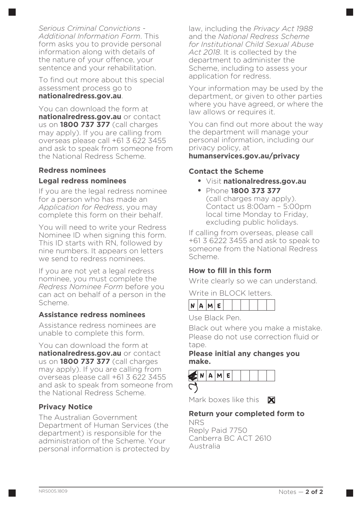*Serious Criminal Convictions - Additional Information Form*. This form asks you to provide personal information along with details of the nature of your offence, your sentence and your rehabilitation.

To find out more about this special assessment process go to **nationalredress.gov.au**.

You can download the form at **nationalredress.gov.au** or contact us on **1800 737 377** (call charges may apply). If you are calling from overseas please call +61 3 622 3455 and ask to speak from someone from the National Redress Scheme.

# **Redress nominees Legal redress nominees**

If you are the legal redress nominee for a person who has made an *Application for Redress*, you may complete this form on their behalf.

You will need to write your Redress Nominee ID when signing this form. This ID starts with RN, followed by nine numbers. It appears on letters we send to redress nominees.

If you are not yet a legal redress nominee, you must complete the *Redress Nominee Form* before you can act on behalf of a person in the Scheme.

## **Assistance redress nominees**

Assistance redress nominees are unable to complete this form.

You can download the form at **nationalredress.gov.au** or contact us on **1800 737 377** (call charges may apply). If you are calling from overseas please call +61 3 622 3455 and ask to speak from someone from the National Redress Scheme.

# **Privacy Notice**

The Australian Government Department of Human Services (the department) is responsible for the administration of the Scheme. Your personal information is protected by law, including the *Privacy Act 1988* and the *National Redress Scheme for Institutional Child Sexual Abuse Act 2018*. It is collected by the department to administer the Scheme, including to assess your application for redress.

Your information may be used by the department, or given to other parties where you have agreed, or where the law allows or requires it.

You can find out more about the way the department will manage your personal information, including our privacy policy, at **humanservices.gov.au/privacy**

### **Contact the Scheme**

- **•** Visit **www.nationalredress.gov.au**
- **•** Phone **1800 373 377** (call charges may apply). Contact us 8:00am – 5:00pm local time Monday to Friday, excluding public holidays.

If calling from overseas, please call +61 3 6222 3455 and ask to speak to someone from the National Redress Scheme.

# **How to fill in this form**

Write clearly so we can understand.

Write in BLOCK letters.

|--|--|--|--|--|--|--|--|--|--|--|--|

Use Black Pen.

Black out where you make a mistake. Please do not use correction fluid or tape

### **Please initial any changes you make.**



Mark boxes like this X

## **Return your completed form to**

NRS Reply Paid 7750 Canberra BC ACT 2610 Australia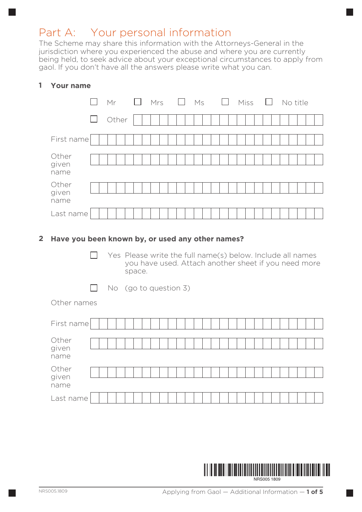# Part A: Your personal information

The Scheme may share this information with the Attorneys-General in the jurisdiction where you experienced the abuse and where you are currently being held, to seek advice about your exceptional circumstances to apply from gaol. If you don't have all the answers please write what you can.

# **1 Your name**

|                        |        | Mr    | $\Box$ | Mrs | Ms |  | $\Box$ | Miss | $\Box$ |  |  | No title |  |
|------------------------|--------|-------|--------|-----|----|--|--------|------|--------|--|--|----------|--|
|                        | $\Box$ | Other |        |     |    |  |        |      |        |  |  |          |  |
| First name             |        |       |        |     |    |  |        |      |        |  |  |          |  |
| Other<br>given<br>name |        |       |        |     |    |  |        |      |        |  |  |          |  |
| Other<br>given<br>name |        |       |        |     |    |  |        |      |        |  |  |          |  |
| Last name              |        |       |        |     |    |  |        |      |        |  |  |          |  |

### **2 Have you been known by, or used any other names?**

- $\Box$  Yes Please write the full name(s) below. Include all names you have used. Attach another sheet if you need more space.
- $\Box$ No (go to question 3)

Other names

| First name             |  |  |  |  |  |  |  |  |  |  |  |  |  |  |
|------------------------|--|--|--|--|--|--|--|--|--|--|--|--|--|--|
| Other<br>given<br>name |  |  |  |  |  |  |  |  |  |  |  |  |  |  |
| Other<br>given<br>name |  |  |  |  |  |  |  |  |  |  |  |  |  |  |
| Last name              |  |  |  |  |  |  |  |  |  |  |  |  |  |  |

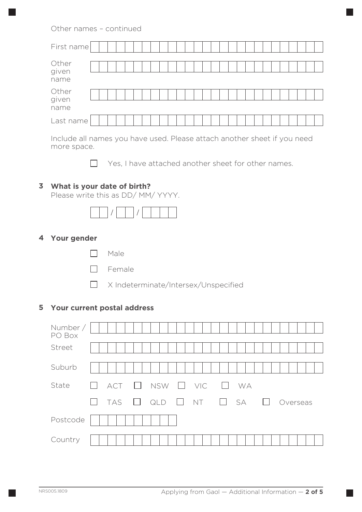### Other names – continued

| First name             |  |  |  |  |  |  |  |  |  |  |  |  |  |
|------------------------|--|--|--|--|--|--|--|--|--|--|--|--|--|
| Other<br>given<br>name |  |  |  |  |  |  |  |  |  |  |  |  |  |
| Other<br>given<br>name |  |  |  |  |  |  |  |  |  |  |  |  |  |
| Last name              |  |  |  |  |  |  |  |  |  |  |  |  |  |

Include all names you have used. Please attach another sheet if you need more space.

 $\Box$  Yes, I have attached another sheet for other names.

# **3 What is your date of birth?**

Please write this as DD/ MM/ YYYY.

### **4 Your gender**

- Male
- **D** Female
- X Indeterminate/Intersex/Unspecified

### **5 Your current postal address**

| Number /<br>PO Box |                                                                                                                            |
|--------------------|----------------------------------------------------------------------------------------------------------------------------|
| Street             |                                                                                                                            |
| Suburb             |                                                                                                                            |
| State              | $ACT$ $\Box$ NSW $\Box$ VIC<br><b>WA</b><br>$\mathbf{L}$<br>$\Box$                                                         |
|                    | $\Box$ NT $\Box$ SA $\Box$<br><b>TAS</b><br>$\begin{array}{c} \square \quad \text{QLD} \end{array}$<br>Overseas<br>$\perp$ |
| Postcode           |                                                                                                                            |
| Country            |                                                                                                                            |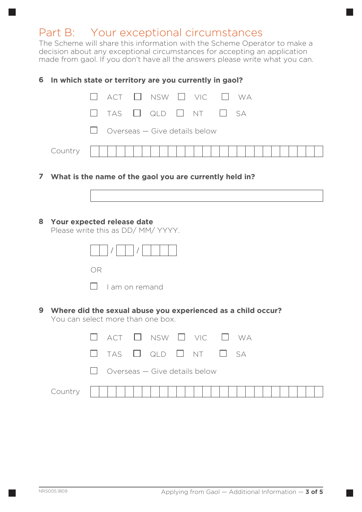# Part B: Your exceptional circumstances

The Scheme will share this information with the Scheme Operator to make a decision about any exceptional circumstances for accepting an application made from gaol. If you don't have all the answers please write what you can.

#### **6 In which state or territory are you currently in gaol?**

|           |  | $\Box$ act $\Box$ nsw $\Box$ vic $\Box$ wa |  |  |  |  |  |  |
|-----------|--|--------------------------------------------|--|--|--|--|--|--|
|           |  | $\Box$ TAS $\Box$ QLD $\Box$ NT $\Box$ SA  |  |  |  |  |  |  |
|           |  | $\Box$ Overseas – Give details below       |  |  |  |  |  |  |
| $Country$ |  |                                            |  |  |  |  |  |  |

**7 What is the name of the gaol you are currently held in?**



### **8 Your expected release date**

Please write this as DD/ MM/ YYYY.

|           | $\vert \vert$ $\vert$ $\vert$ $\vert$ $\vert$ |
|-----------|-----------------------------------------------|
| )ĸ<br>n a |                                               |
|           | I am on remand                                |

**9 Where did the sexual abuse you experienced as a child occur?**  You can select more than one box.

|           |  | $\Box$ act $\Box$ nsw $\Box$ vic $\Box$ wa |           |  |  |  |  |  |
|-----------|--|--------------------------------------------|-----------|--|--|--|--|--|
|           |  | $\Box$ TAS $\Box$ QLD $\Box$ NT $\Box$ SA  |           |  |  |  |  |  |
|           |  | $\Box$ Overseas – Give details below       |           |  |  |  |  |  |
| $Country$ |  |                                            | 1 1 1 1 1 |  |  |  |  |  |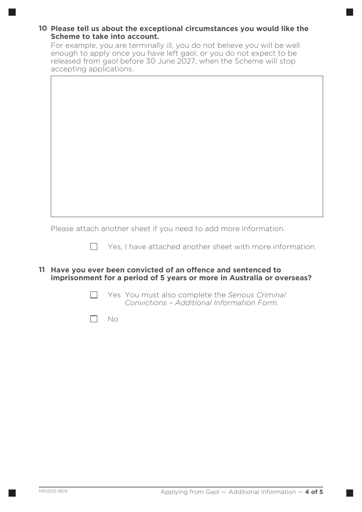### **10 Please tell us about the exceptional circumstances you would like the Scheme to take into account.**

For example, you are terminally ill, you do not believe you will be well enough to apply once you have left gaol, or you do not expect to be released from gaol before 30 June 2027, when the Scheme will stop accepting applications.

Please attach another sheet if you need to add more information.

 $\Box$ 

 $\Box$  Yes, I have attached another sheet with more information.

**11 Have you ever been convicted of an offence and sentenced to imprisonment for a period of 5 years or more in Australia or overseas?**

> Yes You must also complete the *Serious Criminal Convictions – Additional Information Form.*

No  $\Box$